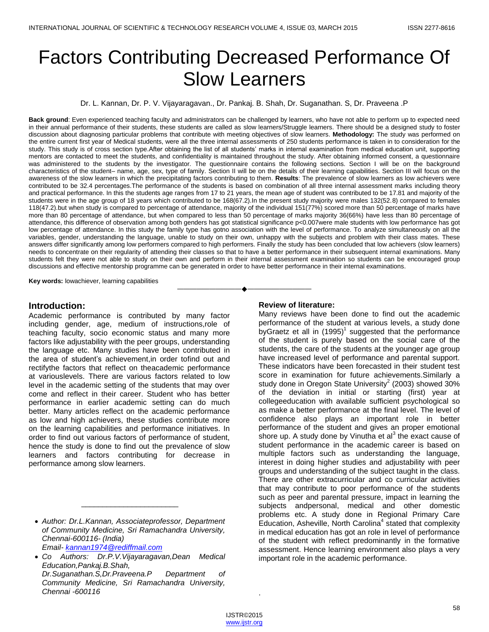# Factors Contributing Decreased Performance Of Slow Learners

Dr. L. Kannan, Dr. P. V. Vijayaragavan., Dr. Pankaj. B. Shah, Dr. Suganathan. S, Dr. Praveena .P

**Back ground**: Even experienced teaching faculty and administrators can be challenged by learners, who have not able to perform up to expected need in their annual performance of their students, these students are called as slow learners/Struggle learners. There should be a designed study to foster discussion about diagnosing particular problems that contribute with meeting objectives of slow learners. **Methodology:** The study was performed on the entire current first year of Medical students, were all the three internal assessments of 250 students performance is taken in to consideration for the study. This study is of cross section type.After obtaining the list of all students' marks in internal examination from medical education unit, supporting mentors are contacted to meet the students, and confidentiality is maintained throughout the study. After obtaining informed consent, a questionnaire was administered to the students by the investigator. The questionnaire contains the following sections. Section I will be on the background characteristics of the student– name, age, sex, type of family. Section II will be on the details of their learning capabilities. Section III will focus on the awareness of the slow learners in which the precipitating factors contributing to them. **Results**: The prevalence of slow learners as low achievers were contributed to be 32.4 percentages.The performance of the students is based on combination of all three internal assessment marks including theory and practical performance. In this the students age ranges from 17 to 21 years, the mean age of student was contributed to be 17.81 and majority of the students were in the age group of 18 years which contributed to be 168(67.2).In the present study majority were males 132(52.8) compared to females 118(47.2).but when study is compared to percentage of attendance, majority of the individual 151(77%) scored more than 50 percentage of marks have more than 80 percentage of attendance, but when compared to less than 50 percentage of marks majority 36(66%) have less than 80 percentage of attendance, this difference of observation among both genders has got statistical significance p<0.007were male students with low performance has got low percentage of attendance. In this study the family type has gotno association with the level of performance. To analyze simultaneously on all the variables, gender, understanding the language, unable to study on their own, unhappy with the subjects and problem with their class mates. These answers differ significantly among low performers compared to high performers. Finally the study has been concluded that low achievers (slow learners) needs to concentrate on their regularity of attending their classes so that to have a better performance in their subsequent internal examinations. Many students felt they were not able to study on their own and perform in their internal assessment examination so students can be encouraged group discussions and effective mentorship programme can be generated in order to have better performance in their internal examinations.

————————————————————

**Key words:** lowachiever, learning capabilities

## **Introduction:**

Academic performance is contributed by many factor including gender, age, medium of instructions,role of teaching faculty, socio economic status and many more factors like adjustability with the peer groups, understanding the language etc. Many studies have been contributed in the area of student's achievement,in order tofind out and rectifythe factors that reflect on theacademic performance at variouslevels. There are various factors related to low level in the academic setting of the students that may over come and reflect in their career. Student who has better performance in earlier academic setting can do much better. Many articles reflect on the academic performance as low and high achievers, these studies contribute more on the learning capabilities and performance initiatives. In order to find out various factors of performance of student, hence the study is done to find out the prevalence of slow learners and factors contributing for decrease in performance among slow learners.

\_\_\_\_\_\_\_\_\_\_\_\_\_\_\_\_\_\_\_\_\_\_\_

 *Co Authors: Dr.P.V.Vijayaragavan,Dean Medical Education,Pankaj.B.Shah, Dr.Suganathan.S,Dr.Praveena.P Department of Community Medicine, Sri Ramachandra University, Chennai -600116*

## **Review of literature:**

Many reviews have been done to find out the academic performance of the student at various levels, a study done by Graetz et all in  $(1995)^1$  suggested that the performance of the student is purely based on the social care of the students, the care of the students at the younger age group have increased level of performance and parental support. These indicators have been forecasted in their student test score in examination for future achievements.Similarly a study done in Oregon State University<sup>2</sup> (2003) showed  $30\%$ of the deviation in initial or starting (first) year at collegeeducation with available sufficient psychological so as make a better performance at the final level. The level of confidence also plays an important role in better performance of the student and gives an proper emotional shore up. A study done by Vinutha et al $3$  the exact cause of student performance in the academic career is based on multiple factors such as understanding the language, interest in doing higher studies and adjustability with peer groups and understanding of the subject taught in the class. There are other extracurricular and co curricular activities that may contribute to poor performance of the students such as peer and parental pressure, impact in learning the subjects andpersonal, medical and other domestic problems etc. A study done in Regional Primary Care Education, Asheville, North Carolina<sup>4</sup> stated that complexity in medical education has got an role in level of performance of the student with reflect predominantly in the formative assessment. Hence learning environment also plays a very important role in the academic performance.

.

*Author: Dr.L.Kannan, Associateprofessor, Department of Community Medicine, Sri Ramachandra University, Chennai-600116- (India) Email- [kannan1974@rediffmail.com](mailto:kannan1974@rediffmail.com)*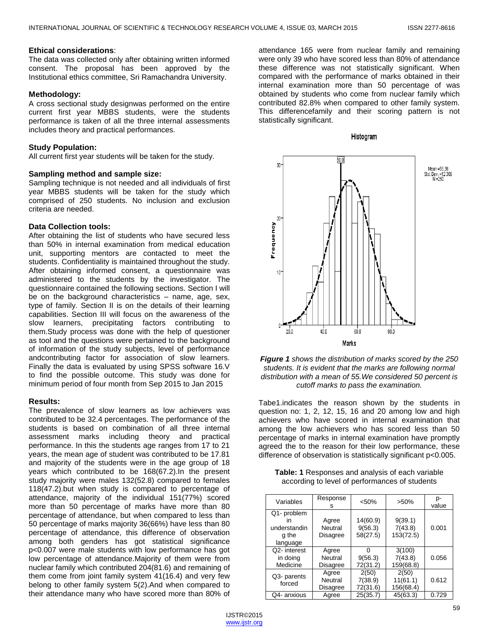#### **Ethical considerations**:

The data was collected only after obtaining written informed consent. The proposal has been approved by the Institutional ethics committee, Sri Ramachandra University.

## **Methodology:**

A cross sectional study designwas performed on the entire current first year MBBS students, were the students performance is taken of all the three internal assessments includes theory and practical performances.

# **Study Population:**

All current first year students will be taken for the study.

#### **Sampling method and sample size:**

Sampling technique is not needed and all individuals of first year MBBS students will be taken for the study which comprised of 250 students. No inclusion and exclusion criteria are needed.

# **Data Collection tools:**

After obtaining the list of students who have secured less than 50% in internal examination from medical education unit, supporting mentors are contacted to meet the students. Confidentiality is maintained throughout the study. After obtaining informed consent, a questionnaire was administered to the students by the investigator. The questionnaire contained the following sections. Section I will be on the background characteristics – name, age, sex, type of family. Section II is on the details of their learning capabilities. Section III will focus on the awareness of the slow learners, precipitating factors contributing to them.Study process was done with the help of questioner as tool and the questions were pertained to the background of information of the study subjects, level of performance andcontributing factor for association of slow learners. Finally the data is evaluated by using SPSS software 16.V to find the possible outcome. This study was done for minimum period of four month from Sep 2015 to Jan 2015

## **Results:**

The prevalence of slow learners as low achievers was contributed to be 32.4 percentages. The performance of the students is based on combination of all three internal assessment marks including theory and practical performance. In this the students age ranges from 17 to 21 years, the mean age of student was contributed to be 17.81 and majority of the students were in the age group of 18 years which contributed to be 168(67.2).In the present study majority were males 132(52.8) compared to females 118(47.2).but when study is compared to percentage of attendance, majority of the individual 151(77%) scored more than 50 percentage of marks have more than 80 percentage of attendance, but when compared to less than 50 percentage of marks majority 36(66%) have less than 80 percentage of attendance, this difference of observation among both genders has got statistical significance p<0.007 were male students with low performance has got low percentage of attendance.Majority of them were from nuclear family which contributed 204(81.6) and remaining of them come from joint family system 41(16.4) and very few belong to other family system 5(2).And when compared to their attendance many who have scored more than 80% of

attendance 165 were from nuclear family and remaining were only 39 who have scored less than 80% of attendance these difference was not statistically significant. When compared with the performance of marks obtained in their internal examination more than 50 percentage of was obtained by students who come from nuclear family which contributed 82.8% when compared to other family system. This differencefamily and their scoring pattern is not statistically significant.







Tabe1.indicates the reason shown by the students in question no: 1, 2, 12, 15, 16 and 20 among low and high achievers who have scored in internal examination that among the low achievers who has scored less than 50 percentage of marks in internal examination have promptly agreed the to the reason for their low performance, these difference of observation is statistically significant p<0.005.

| <b>Table: 1</b> Responses and analysis of each variable |                                                |  |
|---------------------------------------------------------|------------------------------------------------|--|
|                                                         | according to level of performances of students |  |

| Variables                                              | Response<br>s                       | < 50%                           | $>50\%$                         | p-<br>value |
|--------------------------------------------------------|-------------------------------------|---------------------------------|---------------------------------|-------------|
| Q1- problem<br>ın<br>understandin<br>g the<br>language | Agree<br>Neutral<br>Disagree        | 14(60.9)<br>9(56.3)<br>58(27.5) | 9(39.1)<br>7(43.8)<br>153(72.5) | 0.001       |
| Q2-interest<br>in doing<br>Medicine                    | Agree<br>Neutral<br>Disagree        |                                 | 3(100)<br>7(43.8)<br>159(68.8)  | 0.056       |
| Q3- parents<br>forced                                  | Agree<br><b>Neutral</b><br>Disagree | 2(50)<br>7(38.9)<br>72(31.6)    | 2(50)<br>11(61.1)<br>156(68.4)  | 0.612       |
| Q4- anxious                                            | Agree                               |                                 | 45(63.3)                        | 0.729       |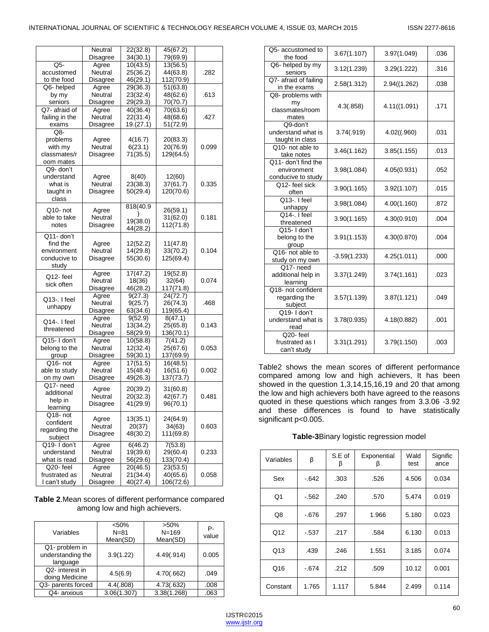|                    | Neutral         | 22(32.8)              | 45(67.2)  |       |  |
|--------------------|-----------------|-----------------------|-----------|-------|--|
|                    | Disagree        | 34(30.1)              | 79(69.9)  |       |  |
| Q5-                | Agree           | 10(43.5)              | 13(56.5)  |       |  |
| accustomed         | Neutral         | 25(36.2)              | 44(63.8)  | .282  |  |
| to the food        | Disagree        | 46(29.1)              | 112(70.9) |       |  |
| Q6- helped         | Agree           | 29(36.3)              | 51(63.8)  |       |  |
| by my              | Neutral         | 23(32.4)              | 48(62.6)  | .613  |  |
| seniors            | <b>Disagree</b> | 29(29.3)              | 70(70.7)  |       |  |
| Q7- afraid of      | Agree           | 40(36.4)              | 70(63.6)  |       |  |
| failing in the     | Neutral         | 22(31.4)              | 48(68.6)  | .427  |  |
| exams              | Disagree        | 19.(27.1)             | 51(72.9)  |       |  |
| Q8-                |                 |                       |           |       |  |
| problems           | Agree           | 4(16.7)               | 20(83.3)  |       |  |
| with my            | Neutral         | 6(23.1)               | 20(76.9)  | 0.099 |  |
| classmates/r       | Disagree        | 71(35.5)              | 129(64.5) |       |  |
| oom mates          |                 |                       |           |       |  |
| Q9- don't          |                 |                       |           |       |  |
| understand         | Agree           | 8(40)                 | 12(60)    |       |  |
| what is            | Neutral         | 23(38.3)              | 37(61.7)  | 0.335 |  |
|                    |                 | 50(29.4)              | 120(70.6) |       |  |
| taught in<br>class | Disagree        |                       |           |       |  |
|                    |                 |                       |           |       |  |
| Q10- not           | Agree           | 818(40.9              | 26(59.1)  |       |  |
| able to take       | Neutral         |                       | 31(62.0)  | 0.181 |  |
| notes              | Disagree        | 19(38.0)              | 112(71.8) |       |  |
|                    |                 | 44(28.2)              |           |       |  |
| Q11- don't         |                 |                       |           |       |  |
| find the           | Agree           | 12(52.2)              | 11(47.8)  |       |  |
| environment        | Neutral         | 14(29.8)              | 33(70.2)  | 0.104 |  |
| conducive to       | Disagree        | 55(30.6)              | 125(69.4) |       |  |
| study              |                 |                       |           |       |  |
| Q12-feel           | Agree           | $\overline{17(47.2)}$ | 19(52.8)  |       |  |
| sick often         | Neutral         | 18(36)                | 32(64)    | 0.074 |  |
|                    | Disagree        | 46(28.2)              | 117(71.8) |       |  |
| Q13-. I feel       | Agree           | 9(27.3)               | 24(72.7)  |       |  |
| unhappy            | Neutral         | 9(25.7)               | 26(74.3)  | .468  |  |
|                    | Disagree        | 63(34.6)              | 119(65.4) |       |  |
| Q14-. I feel       | Agree           | 9(52.9)               | 8(47.1)   |       |  |
| threatened         | Neutral         | 13(34.2)              | 25(65.8)  | 0.143 |  |
|                    | Disagree        | 58(29.9)              | 136(70.1) |       |  |
| Q15-I don't        | Agree           | 10(58.8)              | 7(41.2)   |       |  |
| belong to the      | Neutral         | 12(32.4)              | 25(67.6)  | 0.053 |  |
| group              | Disagree        | 59(30.1)              | 137(69.9) |       |  |
| Q16- not           | Agree           | $\overline{17}(51.5)$ | 16(48.5)  |       |  |
| able to study      | Neutral         | 15(48.4)              | 16(51.6)  | 0.002 |  |
| on my own          | Disagree        | 49(26.3)              | 137(73.7) |       |  |
| Q17- need          | Agree           | 20(39.2)              | 31(60.8)  |       |  |
| additional         | Neutral         | 20(32.3)              | 42(67.7)  | 0.481 |  |
| help in            | Disagree        | 41(29.9)              | 96(70.1)  |       |  |
| learning           |                 |                       |           |       |  |
| Q18- not           | Agree           | 13(35.1)              | 24(64.9)  |       |  |
| confident          |                 |                       | 34(63)    |       |  |
| regarding the      | Neutral         | 20(37)                |           | 0.603 |  |
| subject            | Disagree        | 48(30.2)              | 111(69.8) |       |  |
| Q19- I don't       | Agree           | 6(46.2)               | 7(53.8)   |       |  |
| understand         | Neutral         | 19(39.6)              | 29(60.4)  | 0.233 |  |
| what is read       | Disagree        | 56(29.6)              | 133(70.4) |       |  |
| Q20-feel           | Agree           | 20(46.5)              | 23(53.5)  |       |  |
| frustrated as      | Neutral         | 21(34.4)              | 40(65.6)  | 0.058 |  |
| I can't study      | Disagree        | 40(27.4)              | 106(72.6) |       |  |

| Table 2. Mean scores of different performance compared |  |
|--------------------------------------------------------|--|
| among low and high achievers.                          |  |

| Variables                                       | < 50%<br>$N = 81$<br>Mean(SD) | $>50\%$<br>$N = 169$<br>Mean(SD) | Р.<br>value |
|-------------------------------------------------|-------------------------------|----------------------------------|-------------|
| Q1- problem in<br>understanding the<br>language | 3.9(1.22)                     | 4.49(.914)                       | 0.005       |
| Q2-interest in<br>doing Medicine                | 4.5(6.9)                      | 4.70(.662)                       | .049        |
| Q3- parents forced                              | 4.4(.808)                     | 4.73(.632)                       | .008        |
| Q4- anxious                                     | 3.06(1.307)                   | 3.38(1.268)                      | .063        |

| Q5- accustomed to<br>the food                            | 3.67(1.107)    | 3.97(1.049)  | .036 |
|----------------------------------------------------------|----------------|--------------|------|
| Q6- helped by my<br>seniors                              | 3.12(1.239)    | 3.29(1.222)  | .316 |
| Q7- afraid of failing<br>in the exams                    | 2.58(1.312)    | 2.94((1.262) | .038 |
| Q8- problems with<br>my<br>classmates/room<br>mates      | 4.3(.858)      | 4.11((1.091) | .171 |
| Q9-don't<br>understand what is<br>taught in class        | 3.74(.919)     | 4.02((.960)  | .031 |
| Q10- not able to<br>take notes                           | 3.46(1.162)    | 3.85(1.155)  | .013 |
| Q11- don't find the<br>environment<br>conducive to study | 3.98(1.084)    | 4.05(0.931)  | .052 |
| Q12-feel sick<br>often                                   | 3.90(1.165)    | 3.92(1.107)  | .015 |
| Q13-. I feel<br>unhappy                                  | 3.98(1.084)    | 4.00(1.160)  | .872 |
| $\overline{Q14}$ . I feel<br>threatened                  | 3.90(1.165)    | 4.30(0.910)  | .004 |
| Q15-1 don't<br>belong to the<br>group                    | 3.91(1.153)    | 4.30(0.870)  | .004 |
| Q16- not able to<br>study on my own                      | $-3.59(1.233)$ | 4.25(1.011)  | .000 |
| Q17-need<br>additional help in<br>learning               | 3.37(1.249)    | 3.74(1.161)  | .023 |
| Q18- not confident<br>regarding the<br>subject           | 3.57(1.139)    | 3.87(1.121)  | .049 |
| Q19-1 don't<br>understand what is<br>read                | 3.78(0.935)    | 4.18(0.882)  | .001 |
| Q <sub>20</sub> -feel<br>frustrated as I<br>can't study  | 3.31(1.291)    | 3.79(1.150)  | .003 |

Table2 shows the mean scores of different performance compared among low and high achievers, It has been showed in the question 1,3,14,15,16,19 and 20 that among the low and high achievers both have agreed to the reasons quoted in these questions which ranges from 3.3.06 -3.92 and these differences is found to have statistically significant p<0.005.

#### **Table-3**Binary logistic regression model

| Variables | β      | S.E of<br>ß | Exponential<br>β | Wald<br>test | Signific<br>ance |
|-----------|--------|-------------|------------------|--------------|------------------|
| Sex       | $-642$ | .303        | .526             | 4.506        | 0.034            |
| Q1        | $-562$ | .240        | .570             | 5.474        | 0.019            |
| Q8        | $-676$ | .297        | 1.966            | 5.180        | 0.023            |
| Q12       | $-537$ | .217        | .584             | 6.130        | 0.013            |
| Q13       | .439   | .246        | 1.551            | 3.185        | 0.074            |
| Q16       | $-674$ | .212        | .509             | 10.12        | 0.001            |
| Constant  | 1.765  | 1.117       | 5.844            | 2.499        | 0.114            |